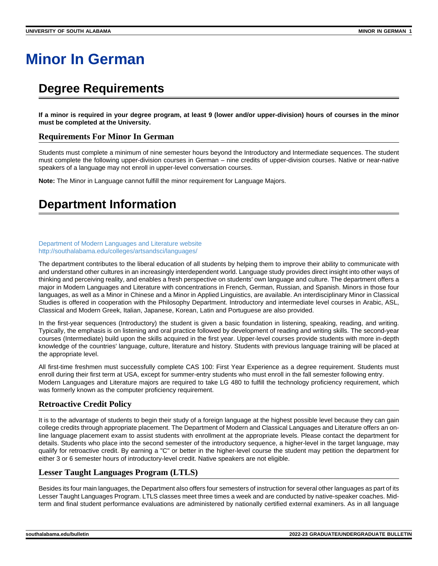# **Minor In German**

# **Degree Requirements**

**If a minor is required in your degree program, at least 9 (lower and/or upper-division) hours of courses in the minor must be completed at the University.**

### **Requirements For Minor In German**

Students must complete a minimum of nine semester hours beyond the Introductory and Intermediate sequences. The student must complete the following upper-division courses in German – nine credits of upper-division courses. Native or near-native speakers of a language may not enroll in upper-level conversation courses.

**Note:** The Minor in Language cannot fulfill the minor requirement for Language Majors.

# **Department Information**

#### [Department of Modern Languages and Literature website](http://southalabama.edu/colleges/artsandsci/languages/) <http://southalabama.edu/colleges/artsandsci/languages/>

The department contributes to the liberal education of all students by helping them to improve their ability to communicate with and understand other cultures in an increasingly interdependent world. Language study provides direct insight into other ways of thinking and perceiving reality, and enables a fresh perspective on students' own language and culture. The department offers a major in Modern Languages and Literature with concentrations in French, German, Russian, and Spanish. Minors in those four languages, as well as a Minor in Chinese and a Minor in Applied Linguistics, are available. An interdisciplinary Minor in Classical Studies is offered in cooperation with the Philosophy Department. Introductory and intermediate level courses in Arabic, ASL, Classical and Modern Greek, Italian, Japanese, Korean, Latin and Portuguese are also provided.

In the first-year sequences (Introductory) the student is given a basic foundation in listening, speaking, reading, and writing. Typically, the emphasis is on listening and oral practice followed by development of reading and writing skills. The second-year courses (Intermediate) build upon the skills acquired in the first year. Upper-level courses provide students with more in-depth knowledge of the countries' language, culture, literature and history. Students with previous language training will be placed at the appropriate level.

All first-time freshmen must successfully complete CAS 100: First Year Experience as a degree requirement. Students must enroll during their first term at USA, except for summer-entry students who must enroll in the fall semester following entry. Modern Languages and Literature majors are required to take LG 480 to fulfill the technology proficiency requirement, which was formerly known as the computer proficiency requirement.

# **Retroactive Credit Policy**

It is to the advantage of students to begin their study of a foreign language at the highest possible level because they can gain college credits through appropriate placement. The Department of Modern and Classical Languages and Literature offers an online language placement exam to assist students with enrollment at the appropriate levels. Please contact the department for details. Students who place into the second semester of the introductory sequence, a higher-level in the target language, may qualify for retroactive credit. By earning a "C" or better in the higher-level course the student may petition the department for either 3 or 6 semester hours of introductory-level credit. Native speakers are not eligible.

# **Lesser Taught Languages Program (LTLS)**

Besides its four main languages, the Department also offers four semesters of instruction for several other languages as part of its Lesser Taught Languages Program. LTLS classes meet three times a week and are conducted by native-speaker coaches. Midterm and final student performance evaluations are administered by nationally certified external examiners. As in all language